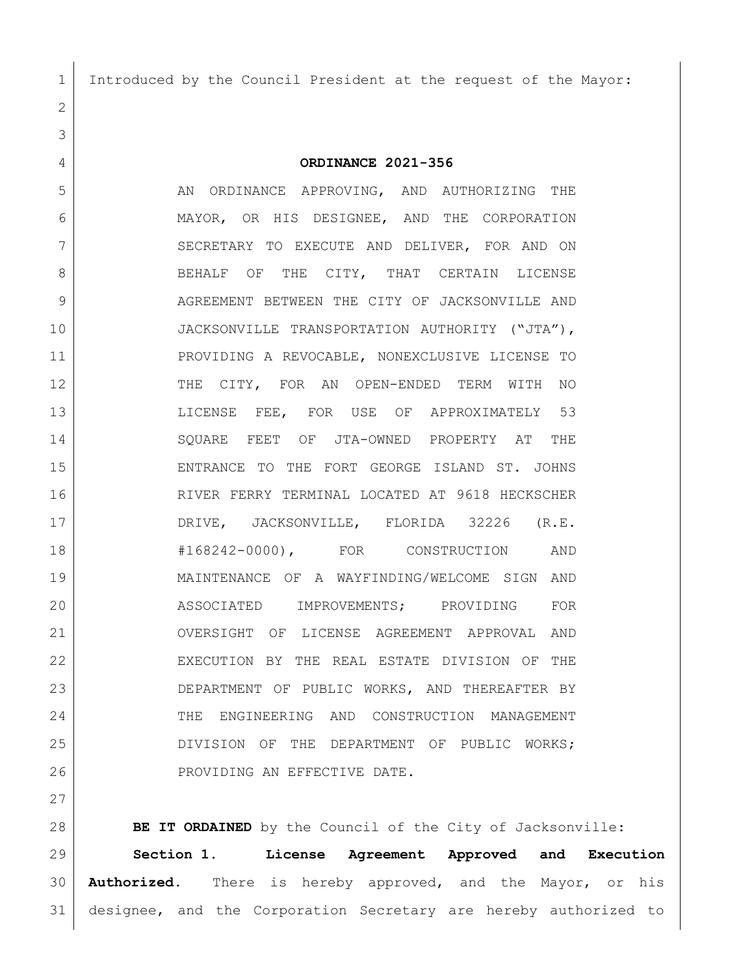Introduced by the Council President at the request of the Mayor:

**ORDINANCE 2021-356**

5 AN ORDINANCE APPROVING, AND AUTHORIZING THE MAYOR, OR HIS DESIGNEE, AND THE CORPORATION 7 SECRETARY TO EXECUTE AND DELIVER, FOR AND ON 8 BEHALF OF THE CITY, THAT CERTAIN LICENSE AGREEMENT BETWEEN THE CITY OF JACKSONVILLE AND JACKSONVILLE TRANSPORTATION AUTHORITY ("JTA"), PROVIDING A REVOCABLE, NONEXCLUSIVE LICENSE TO 12 THE CITY, FOR AN OPEN-ENDED TERM WITH NO LICENSE FEE, FOR USE OF APPROXIMATELY 53 SQUARE FEET OF JTA-OWNED PROPERTY AT THE ENTRANCE TO THE FORT GEORGE ISLAND ST. JOHNS RIVER FERRY TERMINAL LOCATED AT 9618 HECKSCHER DRIVE, JACKSONVILLE, FLORIDA 32226 (R.E. #168242-0000), FOR CONSTRUCTION AND MAINTENANCE OF A WAYFINDING/WELCOME SIGN AND ASSOCIATED IMPROVEMENTS; PROVIDING FOR OVERSIGHT OF LICENSE AGREEMENT APPROVAL AND EXECUTION BY THE REAL ESTATE DIVISION OF THE DEPARTMENT OF PUBLIC WORKS, AND THEREAFTER BY THE ENGINEERING AND CONSTRUCTION MANAGEMENT DIVISION OF THE DEPARTMENT OF PUBLIC WORKS; PROVIDING AN EFFECTIVE DATE.

**BE IT ORDAINED** by the Council of the City of Jacksonville: **Section 1. License Agreement Approved and Execution Authorized.** There is hereby approved, and the Mayor, or his designee, and the Corporation Secretary are hereby authorized to